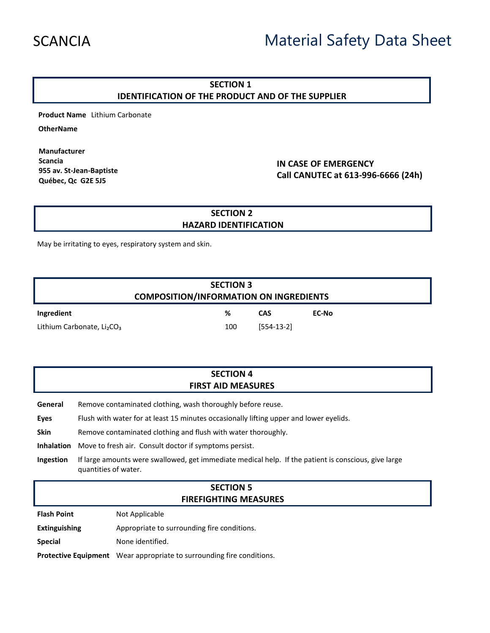# SCANCIA Material Safety Data Sheet

#### **SECTION 1 IDENTIFICATION OF THE PRODUCT AND OF THE SUPPLIER**

**Product Name** Lithium Carbonate

**OtherName**

**Manufacturer Scancia 955 av. St-Jean-Baptiste Québec, Qc G2E 5J5**

**IN CASE OF EMERGENCY Call CANUTEC at 613-996-6666 (24h)**

#### **SECTION 2 HAZARD IDENTIFICATION**

May be irritating to eyes, respiratory system and skin.

| <b>SECTION 3</b><br><b>COMPOSITION/INFORMATION ON INGREDIENTS</b> |     |              |       |  |
|-------------------------------------------------------------------|-----|--------------|-------|--|
| Ingredient                                                        | %   | CAS          | EC-No |  |
| Lithium Carbonate, Li <sub>2</sub> CO <sub>3</sub>                | 100 | $[554-13-2]$ |       |  |

#### **SECTION 4 FIRST AID MEASURES**

**General** Remove contaminated clothing, wash thoroughly before reuse.

- **Eyes** Flush with water for at least 15 minutes occasionally lifting upper and lower eyelids.
- **Skin** Remove contaminated clothing and flush with water thoroughly.

**Inhalation** Move to fresh air. Consult doctor if symptoms persist.

**Ingestion** If large amounts were swallowed, get immediate medical help. If the patient is conscious, give large quantities of water.

#### **SECTION 5 FIREFIGHTING MEASURES**

**Flash Point** Not Applicable

**Extinguishing** Appropriate to surrounding fire conditions.

**Special** None identified.

**Protective Equipment** Wear appropriate to surrounding fire conditions.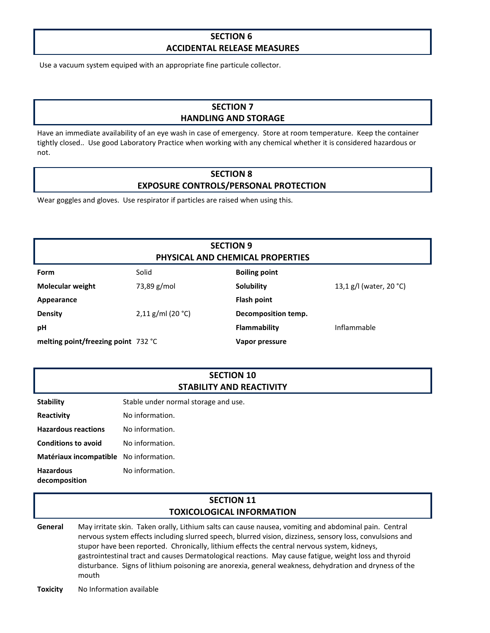#### **SECTION 6 ACCIDENTAL RELEASE MEASURES**

Use a vacuum system equiped with an appropriate fine particule collector.

## **SECTION 7 HANDLING AND STORAGE**

Have an immediate availability of an eye wash in case of emergency. Store at room temperature. Keep the container tightly closed.. Use good Laboratory Practice when working with any chemical whether it is considered hazardous or not.

#### **SECTION 8 EXPOSURE CONTROLS/PERSONAL PROTECTION**

Wear goggles and gloves. Use respirator if particles are raised when using this.

## **SECTION 9 PHYSICAL AND CHEMICAL PROPERTIES**

| <b>Form</b>                         | Solid               | <b>Boiling point</b> |                         |
|-------------------------------------|---------------------|----------------------|-------------------------|
| <b>Molecular weight</b>             | 73,89 g/mol         | Solubility           | 13,1 g/l (water, 20 °C) |
| Appearance                          |                     | <b>Flash point</b>   |                         |
| <b>Density</b>                      | $2,11$ g/ml (20 °C) | Decomposition temp.  |                         |
| рH                                  |                     | Flammability         | Inflammable             |
| melting point/freezing point 732 °C |                     | Vapor pressure       |                         |

#### **SECTION 10 STABILITY AND REACTIVITY**

| <b>Stability</b> | Stable under normal storage and use. |  |
|------------------|--------------------------------------|--|
|                  |                                      |  |

**Reactivity No information.** 

- **Hazardous reactions** No information.
- **Conditions to avoid** No information.
- **Matériaux incompatible** No information. No information.
- **Hazardous decomposition**

### **SECTION 11 TOXICOLOGICAL INFORMATION**

**General** May irritate skin. Taken orally, Lithium salts can cause nausea, vomiting and abdominal pain. Central nervous system effects including slurred speech, blurred vision, dizziness, sensory loss, convulsions and stupor have been reported. Chronically, lithium effects the central nervous system, kidneys, gastrointestinal tract and causes Dermatological reactions. May cause fatigue, weight loss and thyroid disturbance. Signs of lithium poisoning are anorexia, general weakness, dehydration and dryness of the mouth

**Toxicity** No Information available